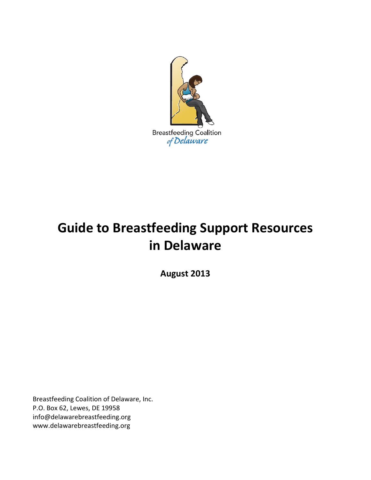

# **Guide to Breastfeeding Support Resources in Delaware**

**August 2013**

Breastfeeding Coalition of Delaware, Inc. P.O. Box 62, Lewes, DE 19958 info@delawarebreastfeeding.org www.delawarebreastfeeding.org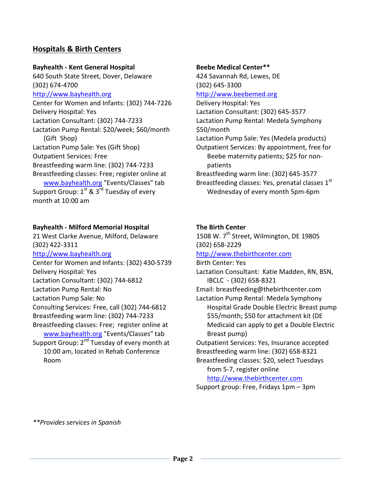# **Hospitals & Birth Centers**

## **Bayhealth - Kent General Hospital**

640 South State Street, Dover, Delaware (302) 674-4700 [http://www.bayhealth.org](http://www.bayhealth.org/) Center for Women and Infants: (302) 744-7226 Delivery Hospital: Yes Lactation Consultant: (302) 744-7233 Lactation Pump Rental: \$20/week; \$60/month (Gift Shop) Lactation Pump Sale: Yes (Gift Shop) Outpatient Services: Free Breastfeeding warm line: (302) 744-7233 Breastfeeding classes: Free; register online at [www.bayhealth.org](http://www.bayhealth.org/) "Events/Classes" tab Support Group:  $1^{st}$  &  $3^{rd}$  Tuesday of every month at 10:00 am

## **Bayhealth - Milford Memorial Hospital**

21 West Clarke Avenue, Milford, Delaware (302) 422-3311 [http://www.bayhealth.org](http://www.bayhealth.org/) Center for Women and Infants: (302) 430-5739 Delivery Hospital: Yes Lactation Consultant: (302) 744-6812 Lactation Pump Rental: No Lactation Pump Sale: No Consulting Services: Free, call (302) 744-6812 Breastfeeding warm line: (302) 744-7233 Breastfeeding classes: Free; register online at [www.bayhealth.org](http://www.bayhealth.org/) "Events/Classes" tab Support Group: 2<sup>nd</sup> Tuesday of every month at 10:00 am, located in Rehab Conference Room

#### **Beebe Medical Center\*\***

424 Savannah Rd, Lewes, DE (302) 645-3300 [http://www.beebemed.org](http://www.beebemed.org/) Delivery Hospital: Yes Lactation Consultant: (302) 645-3577 Lactation Pump Rental: Medela Symphony \$50/month Lactation Pump Sale: Yes (Medela products) Outpatient Services: By appointment, free for Beebe maternity patients; \$25 for nonpatients Breastfeeding warm line: (302) 645-3577 Breastfeeding classes: Yes, prenatal classes  $1<sup>st</sup>$ Wednesday of every month 5pm-6pm

## **The Birth Center**

1508 W. 7<sup>th</sup> Street, Wilmington, DE 19805 (302) 658-2229 [http://www.thebirthcenter.com](http://www.thebirthcenter.com/) Birth Center: Yes Lactation Consultant: Katie Madden, RN, BSN, IBCLC - (302) 658-8321 Email: breastfeeding@thebirthcenter.com Lactation Pump Rental: Medela Symphony Hospital Grade Double Electric Breast pump \$55/month; \$50 for attachment kit (DE Medicaid can apply to get a Double Electric Breast pump) Outpatient Services: Yes, Insurance accepted Breastfeeding warm line: (302) 658-8321 Breastfeeding classes: \$20, select Tuesdays from 5-7, register online

[http://www.thebirthcenter.com](http://www.thebirthcenter.com/)

Support group: Free, Fridays 1pm – 3pm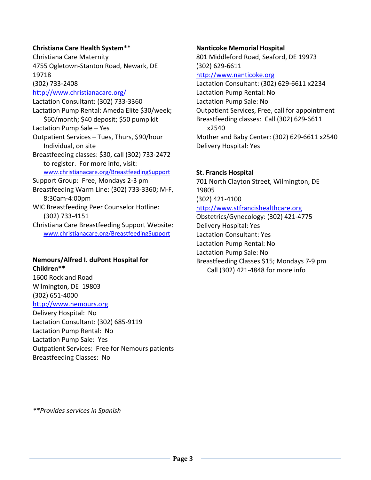#### **Christiana Care Health System\*\***

Christiana Care Maternity 4755 Ogletown-Stanton Road, Newark, DE 19718 (302) 733-2408

<http://www.christianacare.org/> Lactation Consultant: (302) 733-3360 Lactation Pump Rental: Ameda Elite \$30/week; \$60/month; \$40 deposit; \$50 pump kit Lactation Pump Sale – Yes Outpatient Services – Tues, Thurs, \$90/hour Individual, on site Breastfeeding classes: \$30, call (302) 733-2472 to register. For more info, visit: [www.christianacare.org/BreastfeedingSupport](http://www.christianacare.org/BreastfeedingSupport) Support Group: Free, Mondays 2-3 pm Breastfeeding Warm Line: (302) 733-3360; M-F, 8:30am-4:00pm WIC Breastfeeding Peer Counselor Hotline: (302) 733-4151 Christiana Care Breastfeeding Support Website: [www.christianacare.org/BreastfeedingSupport](http://www.christianacare.org/BreastfeedingSupport)

# **Nemours/Alfred I. duPont Hospital for Children\*\***

1600 Rockland Road Wilmington, DE 19803 (302) 651-4000 [http://www.nemours.org](http://www.nemours.org/)

Delivery Hospital: No Lactation Consultant: (302) 685-9119 Lactation Pump Rental: No Lactation Pump Sale: Yes Outpatient Services: Free for Nemours patients Breastfeeding Classes: No

#### **Nanticoke Memorial Hospital**

801 Middleford Road, Seaford, DE 19973 (302) 629-6611 [http://www.nanticoke.org](http://www.nanticoke.org/) Lactation Consultant: (302) 629-6611 x2234 Lactation Pump Rental: No Lactation Pump Sale: No Outpatient Services, Free, call for appointment Breastfeeding classes: Call (302) 629-6611 x2540

Mother and Baby Center: (302) 629-6611 x2540 Delivery Hospital: Yes

## **St. Francis Hospital**

701 North Clayton Street, Wilmington, DE 19805 (302) 421-4100

#### [http://www.stfrancishealthcare.org](http://www.stfrancishealthcare.org/)

Obstetrics/Gynecology: (302) 421-4775 Delivery Hospital: Yes Lactation Consultant: Yes Lactation Pump Rental: No Lactation Pump Sale: No Breastfeeding Classes \$15; Mondays 7-9 pm

Call (302) 421-4848 for more info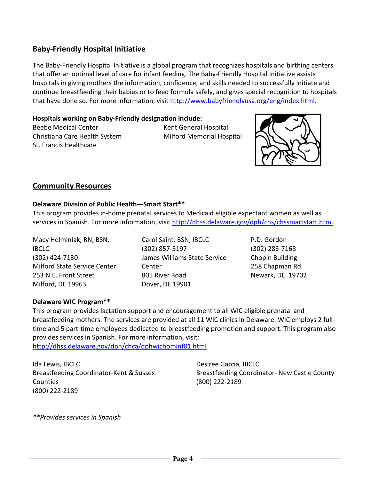# **Baby-Friendly Hospital Initiative**

The Baby-Friendly Hospital Initiative is a global program that recognizes hospitals and birthing centers that offer an optimal level of care for infant feeding. The Baby-Friendly Hospital Initiative assists hospitals in giving mothers the information, confidence, and skills needed to successfully initiate and continue breastfeeding their babies or to feed formula safely, and gives special recognition to hospitals that have done so. For more information, visit [http://www.babyfriendlyusa.org/eng/index.html.](http://www.babyfriendlyusa.org/eng/index.html)

## **Hospitals working on Baby-Friendly designation include:**

Beebe Medical Center **Kent General Hospital** Christiana Care Health System Milford Memorial Hospital St. Francis Healthcare



# **Community Resources**

## **Delaware Division of Public Health—Smart Start\*\***

This program provides in-home prenatal services to Medicaid eligible expectant women as well as services in Spanish. For more information, visit [http://dhss.delaware.gov/dph/chs/chssmartstart.html.](http://dhss.delaware.gov/dph/chs/chssmartstart.html)

Macy Helminiak, RN, BSN, IBCLC (302) 424-7130 Milford State Service Center 253 N.E. Front Street Milford, DE 19963

Carol Saint, BSN, IBCLC (302) 857-5197 James Williams State Service Center 805 River Road Dover, DE 19901

P.D. Gordon (302) 283-7168 Chopin Building 258 Chapman Rd. Newark, DE 19702

## **Delaware WIC Program\*\***

This program provides lactation support and encouragement to all WIC eligible prenatal and breastfeeding mothers. The services are provided at all 11 WIC clinics in Delaware. WIC employs 2 fulltime and 5 part-time employees dedicated to breastfeeding promotion and support. This program also provides services in Spanish. For more information, visit:

<http://dhss.delaware.gov/dph/chca/dphwichominf01.html>

Ida Lewis, IBCLC Breastfeeding Coordinator-Kent & Sussex **Counties** (800) 222-2189

Desiree Garcia, IBCLC Breastfeeding Coordinator- New Castle County (800) 222-2189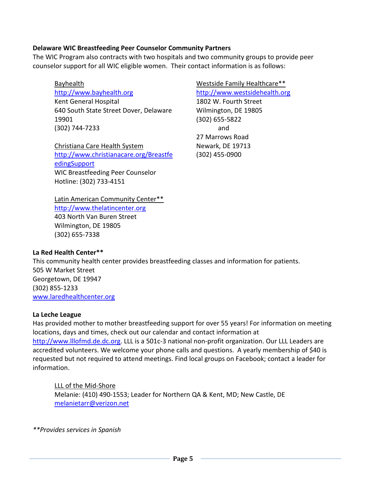## **Delaware WIC Breastfeeding Peer Counselor Community Partners**

The WIC Program also contracts with two hospitals and two community groups to provide peer counselor support for all WIC eligible women. Their contact information is as follows:

Bayhealth [http://www.bayhealth.org](http://www.bayhealth.org/) Kent General Hospital 640 South State Street Dover, Delaware 19901 (302) 744-7233

Christiana Care Health System [http://www.christianacare.org/Breastfe](http://www.christianacare.org/BreastfeedingSupport) [edingSupport](http://www.christianacare.org/BreastfeedingSupport) WIC Breastfeeding Peer Counselor Hotline: (302) 733-4151

Westside Family Healthcare\*\* [http://www.westsidehealth.org](http://www.westsidehealth.org/) 1802 W. Fourth Street Wilmington, DE 19805 (302) 655-5822 and 27 Marrows Road Newark, DE 19713 (302) 455-0900

Latin American Community Center\*\* [http://www.thelatincenter.org](http://www.thelatincenter.org/) 403 North Van Buren Street Wilmington, DE 19805 (302) 655-7338

## **La Red Health Center\*\***

This community health center provides breastfeeding classes and information for patients. 505 W Market Street Georgetown, DE 19947 (302) 855-1233 [www.laredhealthcenter.org](http://www.laredhealthcenter.org/)

#### **La Leche League**

Has provided mother to mother breastfeeding support for over 55 years! For information on meeting locations, days and times, check out our calendar and contact information at [http://www.lllofmd.de.dc.org.](http://www.lllofmd.de.dc.org/) LLL is a 501c-3 national non-profit organization. Our LLL Leaders are accredited volunteers. We welcome your phone calls and questions. A yearly membership of \$40 is requested but not required to attend meetings. Find local groups on Facebook; contact a leader for information.

LLL of the Mid-Shore Melanie: (410) 490-1553; Leader for Northern QA & Kent, MD; New Castle, DE [melanietarr@verizon.net](mailto:melanietarr@verizon.net)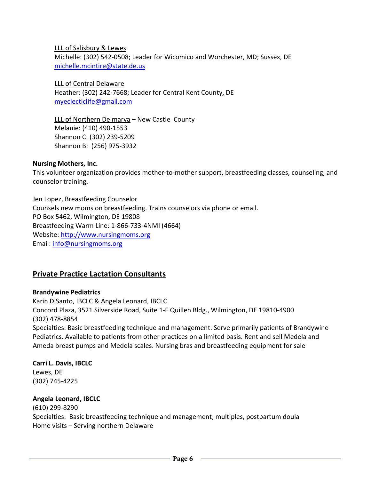LLL of Salisbury & Lewes

Michelle: (302) 542-0508; Leader for Wicomico and Worchester, MD; Sussex, DE [michelle.mcintire@state.de.us](mailto:michelle.mcintire@state.de.us)

LLL of Central Delaware Heather: (302) 242-7668; Leader for Central Kent County, DE [myeclecticlife@gmail.com](mailto:myeclecticlife@gmail.com)

LLL of Northern Delmarva **–** New Castle County Melanie: (410) 490-1553 Shannon C: (302) 239-5209 Shannon B: (256) 975-3932

## **Nursing Mothers, Inc.**

This volunteer organization provides mother-to-mother support, breastfeeding classes, counseling, and counselor training.

Jen Lopez, Breastfeeding Counselor Counsels new moms on breastfeeding. Trains counselors via phone or email. PO Box 5462, Wilmington, DE 19808 Breastfeeding Warm Line: 1-866-733-4NMI (4664) Website: [http://www.nursingmoms.org](http://www.nursingmoms.org/) Email: [info@nursingmoms.org](mailto:info@nursingmoms.org)

## **Private Practice Lactation Consultants**

## **Brandywine Pediatrics**

Karin DiSanto, IBCLC & Angela Leonard, IBCLC Concord Plaza, 3521 Silverside Road, Suite 1-F Quillen Bldg., Wilmington, DE 19810-4900 (302) 478-8854 Specialties: Basic breastfeeding technique and management. Serve primarily patients of Brandywine Pediatrics. Available to patients from other practices on a limited basis. Rent and sell Medela and Ameda breast pumps and Medela scales. Nursing bras and breastfeeding equipment for sale

#### **Carri L. Davis, IBCLC** Lewes, DE

(302) 745-4225

## **Angela Leonard, IBCLC**

(610) 299-8290 Specialties: Basic breastfeeding technique and management; multiples, postpartum doula Home visits – Serving northern Delaware